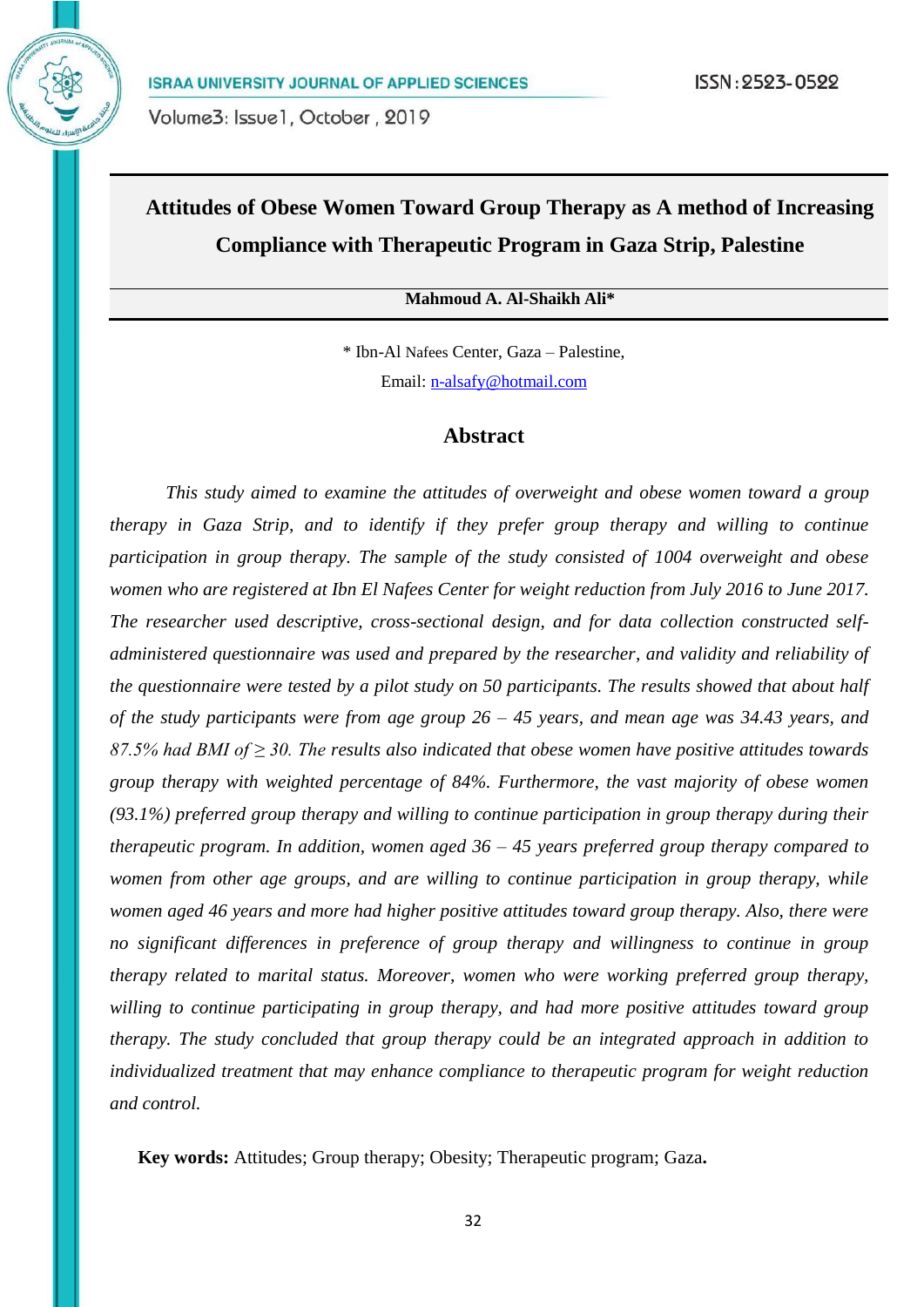# **Attitudes of Obese Women Toward Group Therapy as A method of Increasing Compliance with Therapeutic Program in Gaza Strip, Palestine**

# **Mahmoud A. Al-Shaikh Ali\***

\* Ibn-Al Nafees Center, Gaza – Palestine, Email: [n-alsafy@hotmail.com](mailto:n-alsafy@hotmail.com)

# **Abstract**

*This study aimed to examine the attitudes of overweight and obese women toward a group therapy in Gaza Strip, and to identify if they prefer group therapy and willing to continue participation in group therapy. The sample of the study consisted of 1004 overweight and obese women who are registered at Ibn El Nafees Center for weight reduction from July 2016 to June 2017. The researcher used descriptive, cross-sectional design, and for data collection constructed selfadministered questionnaire was used and prepared by the researcher, and validity and reliability of the questionnaire were tested by a pilot study on 50 participants. The results showed that about half of the study participants were from age group 26 – 45 years, and mean age was 34.43 years, and 87.5% had BMI of ≥ 30. The results also indicated that obese women have positive attitudes towards group therapy with weighted percentage of 84%. Furthermore, the vast majority of obese women (93.1%) preferred group therapy and willing to continue participation in group therapy during their therapeutic program. In addition, women aged 36 – 45 years preferred group therapy compared to women from other age groups, and are willing to continue participation in group therapy, while women aged 46 years and more had higher positive attitudes toward group therapy. Also, there were no significant differences in preference of group therapy and willingness to continue in group therapy related to marital status. Moreover, women who were working preferred group therapy, willing to continue participating in group therapy, and had more positive attitudes toward group therapy. The study concluded that group therapy could be an integrated approach in addition to individualized treatment that may enhance compliance to therapeutic program for weight reduction and control.*

 **Key words:** Attitudes; Group therapy; Obesity; Therapeutic program; Gaza**.**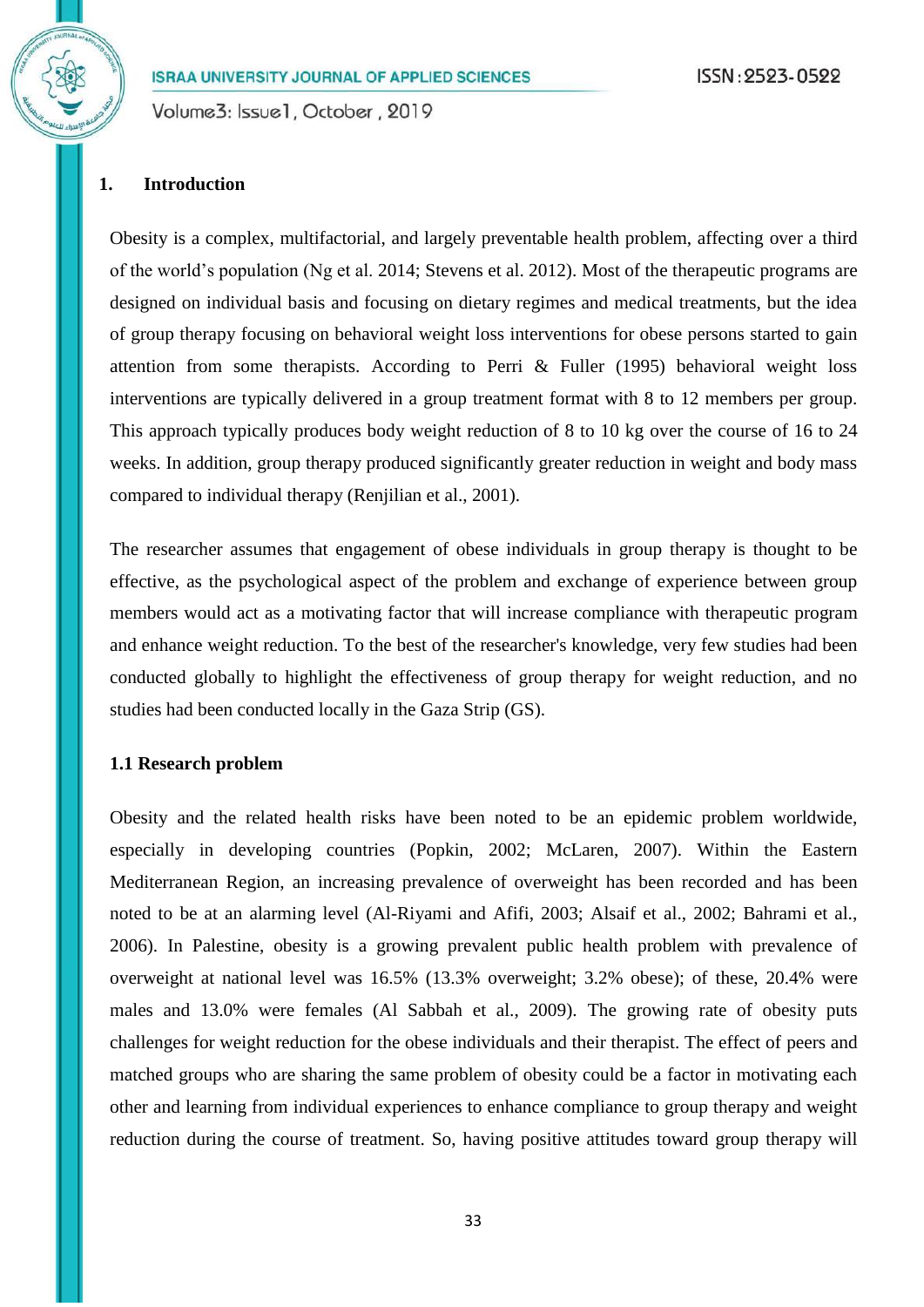Volume3: Issue1, October, 2019

#### **1. Introduction**

Obesity is a complex, multifactorial, and largely preventable health problem, affecting over a third of the world's population (Ng et al. 2014; Stevens et al. 2012). Most of the therapeutic programs are designed on individual basis and focusing on dietary regimes and medical treatments, but the idea of group therapy focusing on behavioral weight loss interventions for obese persons started to gain attention from some therapists. According to Perri & Fuller (1995) behavioral weight loss interventions are typically delivered in a group treatment format with 8 to 12 members per group. This approach typically produces body weight reduction of 8 to 10 kg over the course of 16 to 24 weeks. In addition, group therapy produced significantly greater reduction in weight and body mass compared to individual therapy (Renjilian et al., 2001).

The researcher assumes that engagement of obese individuals in group therapy is thought to be effective, as the psychological aspect of the problem and exchange of experience between group members would act as a motivating factor that will increase compliance with therapeutic program and enhance weight reduction. To the best of the researcher's knowledge, very few studies had been conducted globally to highlight the effectiveness of group therapy for weight reduction, and no studies had been conducted locally in the Gaza Strip (GS).

#### **1.1 Research problem**

Obesity and the related health risks have been noted to be an epidemic problem worldwide, especially in developing countries (Popkin, 2002; McLaren, 2007). Within the Eastern Mediterranean Region, an increasing prevalence of overweight has been recorded and has been noted to be at an alarming level (Al-Riyami and Afifi, 2003; Alsaif et al., 2002; Bahrami et al., 2006). In Palestine, obesity is a growing prevalent public health problem with prevalence of overweight at national level was 16.5% (13.3% overweight; 3.2% obese); of these, 20.4% were males and 13.0% were females (Al Sabbah et al., 2009). The growing rate of obesity puts challenges for weight reduction for the obese individuals and their therapist. The effect of peers and matched groups who are sharing the same problem of obesity could be a factor in motivating each other and learning from individual experiences to enhance compliance to group therapy and weight reduction during the course of treatment. So, having positive attitudes toward group therapy will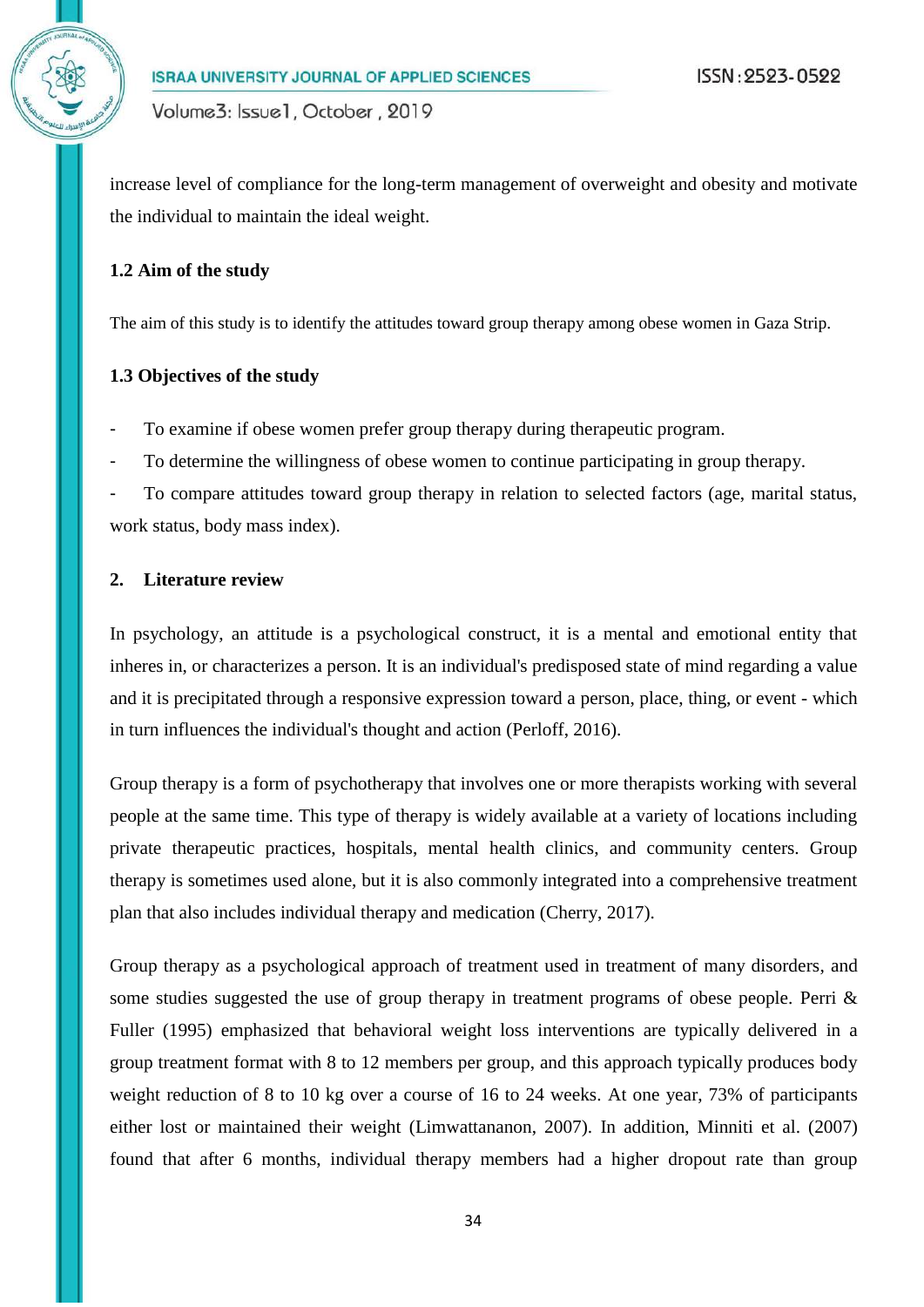increase level of compliance for the long-term management of overweight and obesity and motivate the individual to maintain the ideal weight.

#### **1.2 Aim of the study**

The aim of this study is to identify the attitudes toward group therapy among obese women in Gaza Strip.

#### **1.3 Objectives of the study**

- To examine if obese women prefer group therapy during therapeutic program.
- To determine the willingness of obese women to continue participating in group therapy.
- To compare attitudes toward group therapy in relation to selected factors (age, marital status, work status, body mass index).

#### **2. Literature review**

In psychology, an attitude is a psychological construct, it is a mental and emotional entity that inheres in, or characterizes a person. It is an individual's predisposed state of mind regarding a value and it is precipitated through a responsive expression toward a person, place, thing, or event - which in turn influences the individual's thought and action (Perloff, 2016).

Group therapy is a form of psychotherapy that involves one or more therapists working with several people at the same time. This type of therapy is widely available at a variety of locations including private therapeutic practices, hospitals, mental health clinics, and community centers. Group therapy is sometimes used alone, but it is also commonly integrated into a comprehensive treatment plan that also includes individual therapy and medication (Cherry, 2017).

Group therapy as a psychological approach of treatment used in treatment of many disorders, and some studies suggested the use of group therapy in treatment programs of obese people. Perri & Fuller (1995) emphasized that behavioral weight loss interventions are typically delivered in a group treatment format with 8 to 12 members per group, and this approach typically produces body weight reduction of 8 to 10 kg over a course of 16 to 24 weeks. At one year, 73% of participants either lost or maintained their weight (Limwattananon, 2007). In addition, Minniti et al. (2007) found that after 6 months, individual therapy members had a higher dropout rate than group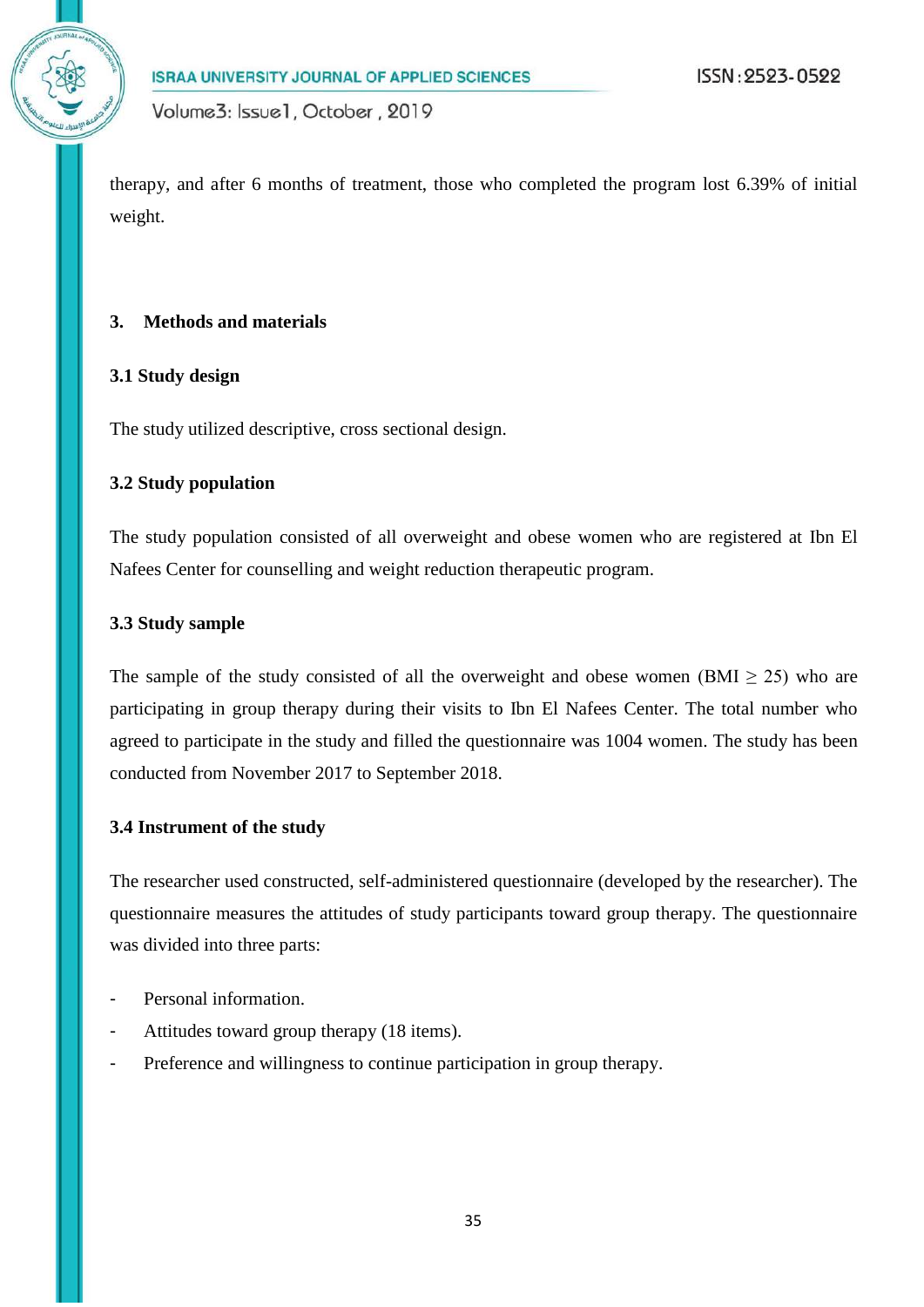therapy, and after 6 months of treatment, those who completed the program lost 6.39% of initial weight.

# **3. Methods and materials**

### **3.1 Study design**

The study utilized descriptive, cross sectional design.

#### **3.2 Study population**

The study population consisted of all overweight and obese women who are registered at Ibn El Nafees Center for counselling and weight reduction therapeutic program.

#### **3.3 Study sample**

The sample of the study consisted of all the overweight and obese women (BMI  $\geq$  25) who are participating in group therapy during their visits to Ibn El Nafees Center. The total number who agreed to participate in the study and filled the questionnaire was 1004 women. The study has been conducted from November 2017 to September 2018.

#### **3.4 Instrument of the study**

The researcher used constructed, self-administered questionnaire (developed by the researcher). The questionnaire measures the attitudes of study participants toward group therapy. The questionnaire was divided into three parts:

- Personal information.
- Attitudes toward group therapy (18 items).
- Preference and willingness to continue participation in group therapy.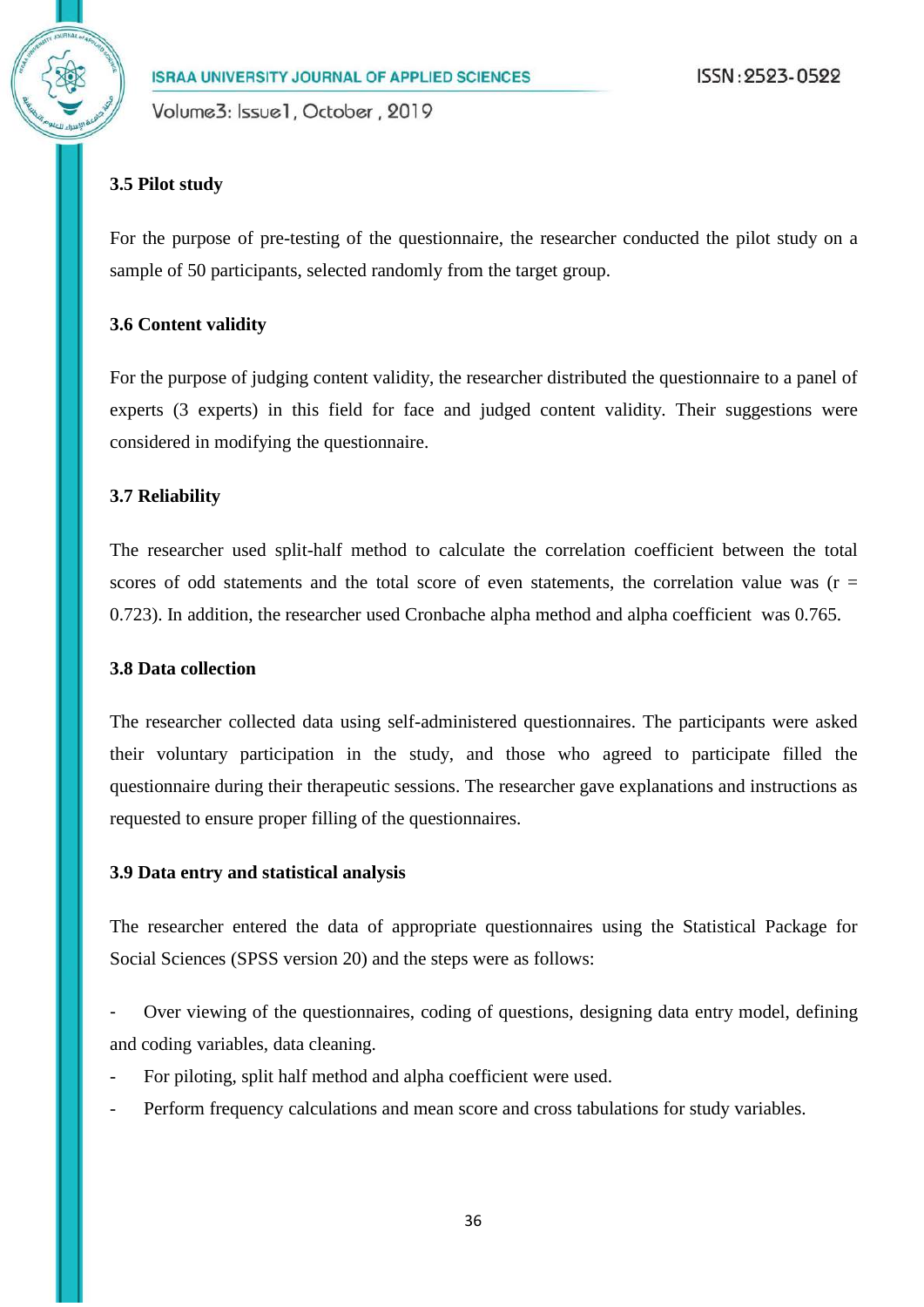Volume3: Issue1, October, 2019

# **3.5 Pilot study**

For the purpose of pre-testing of the questionnaire, the researcher conducted the pilot study on a sample of 50 participants, selected randomly from the target group.

# **3.6 Content validity**

For the purpose of judging content validity, the researcher distributed the questionnaire to a panel of experts (3 experts) in this field for face and judged content validity. Their suggestions were considered in modifying the questionnaire.

# **3.7 Reliability**

The researcher used split-half method to calculate the correlation coefficient between the total scores of odd statements and the total score of even statements, the correlation value was ( $r =$ 0.723). In addition, the researcher used Cronbache alpha method and alpha coefficient was 0.765.

## **3.8 Data collection**

The researcher collected data using self-administered questionnaires. The participants were asked their voluntary participation in the study, and those who agreed to participate filled the questionnaire during their therapeutic sessions. The researcher gave explanations and instructions as requested to ensure proper filling of the questionnaires.

## **3.9 Data entry and statistical analysis**

The researcher entered the data of appropriate questionnaires using the Statistical Package for Social Sciences (SPSS version 20) and the steps were as follows:

Over viewing of the questionnaires, coding of questions, designing data entry model, defining and coding variables, data cleaning.

- For piloting, split half method and alpha coefficient were used.
- Perform frequency calculations and mean score and cross tabulations for study variables.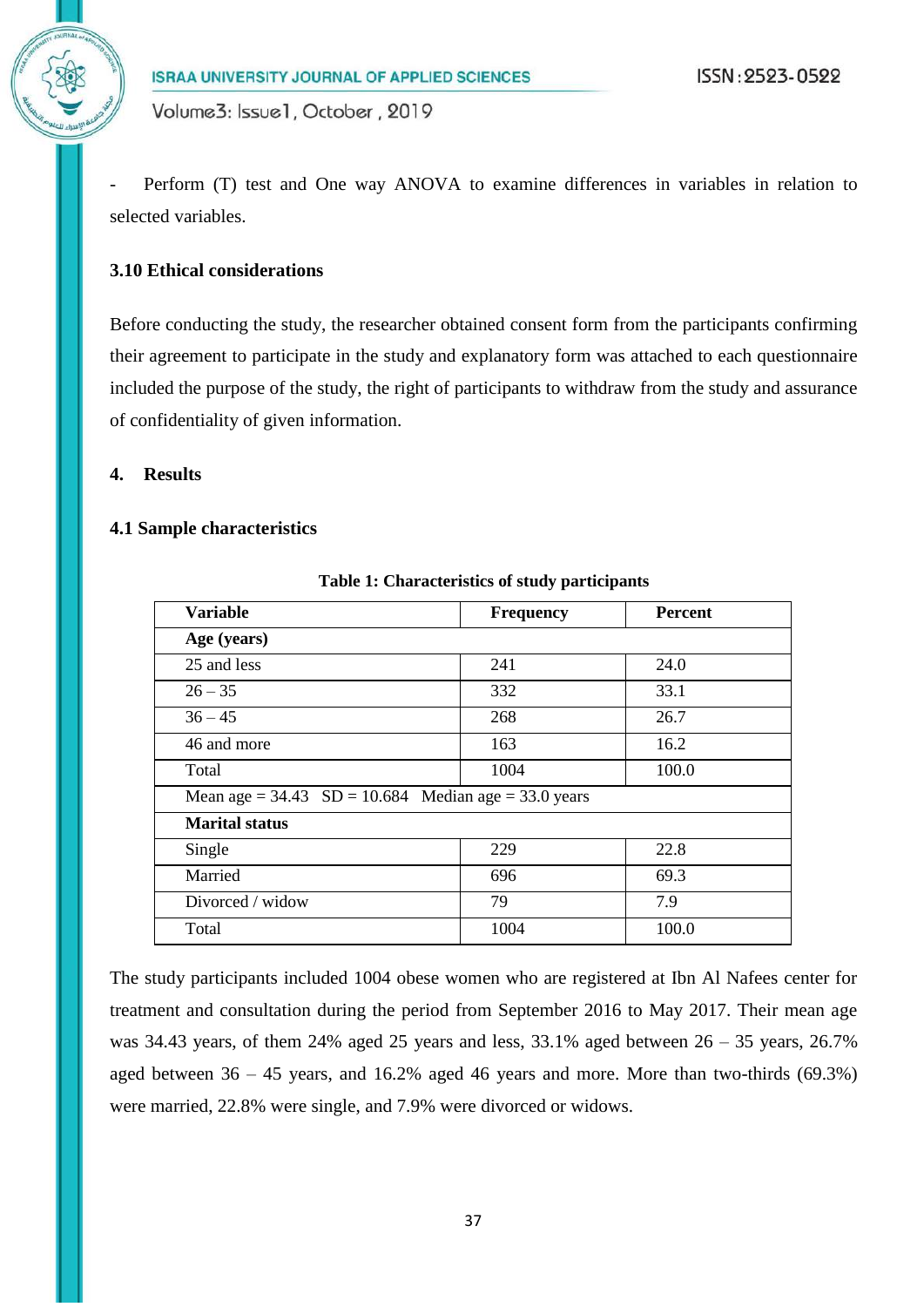Perform (T) test and One way ANOVA to examine differences in variables in relation to selected variables.

# **3.10 Ethical considerations**

Before conducting the study, the researcher obtained consent form from the participants confirming their agreement to participate in the study and explanatory form was attached to each questionnaire included the purpose of the study, the right of participants to withdraw from the study and assurance of confidentiality of given information.

#### **4. Results**

#### **4.1 Sample characteristics**

| <b>Variable</b>                                          | <b>Frequency</b> | <b>Percent</b> |
|----------------------------------------------------------|------------------|----------------|
| Age (years)                                              |                  |                |
| 25 and less                                              | 241              | 24.0           |
| $26 - 35$                                                | 332              | 33.1           |
| $36 - 45$                                                | 268              | 26.7           |
| 46 and more                                              | 163              | 16.2           |
| Total                                                    | 1004             | 100.0          |
| Mean age = $34.43$ SD = $10.684$ Median age = 33.0 years |                  |                |
| <b>Marital status</b>                                    |                  |                |
| Single                                                   | 229              | 22.8           |
| Married                                                  | 696              | 69.3           |
| Divorced / widow                                         | 79               | 7.9            |
| Total                                                    | 1004             | 100.0          |

**Table 1: Characteristics of study participants**

The study participants included 1004 obese women who are registered at Ibn Al Nafees center for treatment and consultation during the period from September 2016 to May 2017. Their mean age was 34.43 years, of them 24% aged 25 years and less,  $33.1\%$  aged between  $26 - 35$  years,  $26.7\%$ aged between 36 – 45 years, and 16.2% aged 46 years and more. More than two-thirds (69.3%) were married, 22.8% were single, and 7.9% were divorced or widows.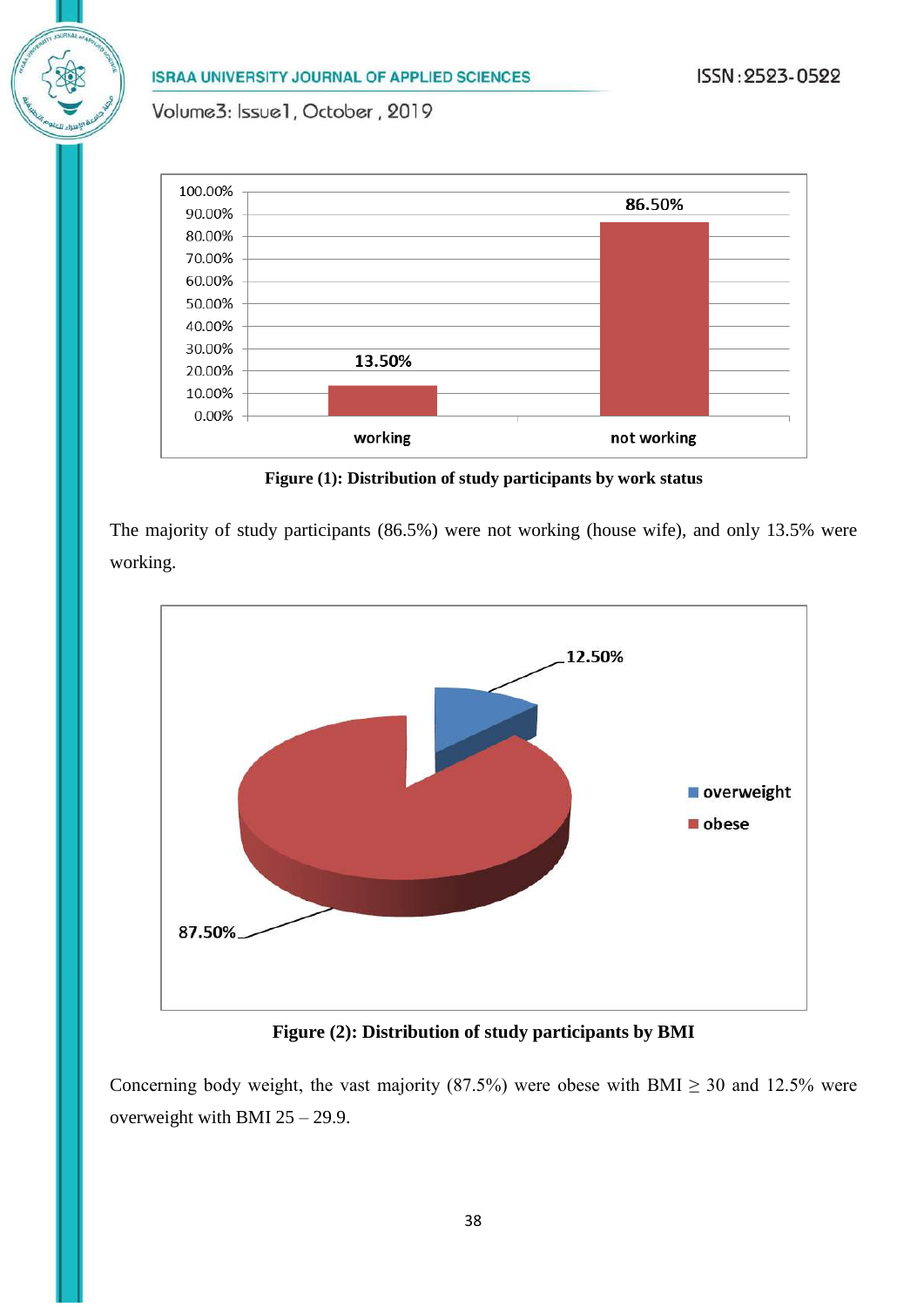Volume3: Issue1, October, 2019



**Figure (1): Distribution of study participants by work status**

The majority of study participants (86.5%) were not working (house wife), and only 13.5% were working.



**Figure (2): Distribution of study participants by BMI**

Concerning body weight, the vast majority (87.5%) were obese with BMI  $\geq$  30 and 12.5% were overweight with BMI 25 – 29.9.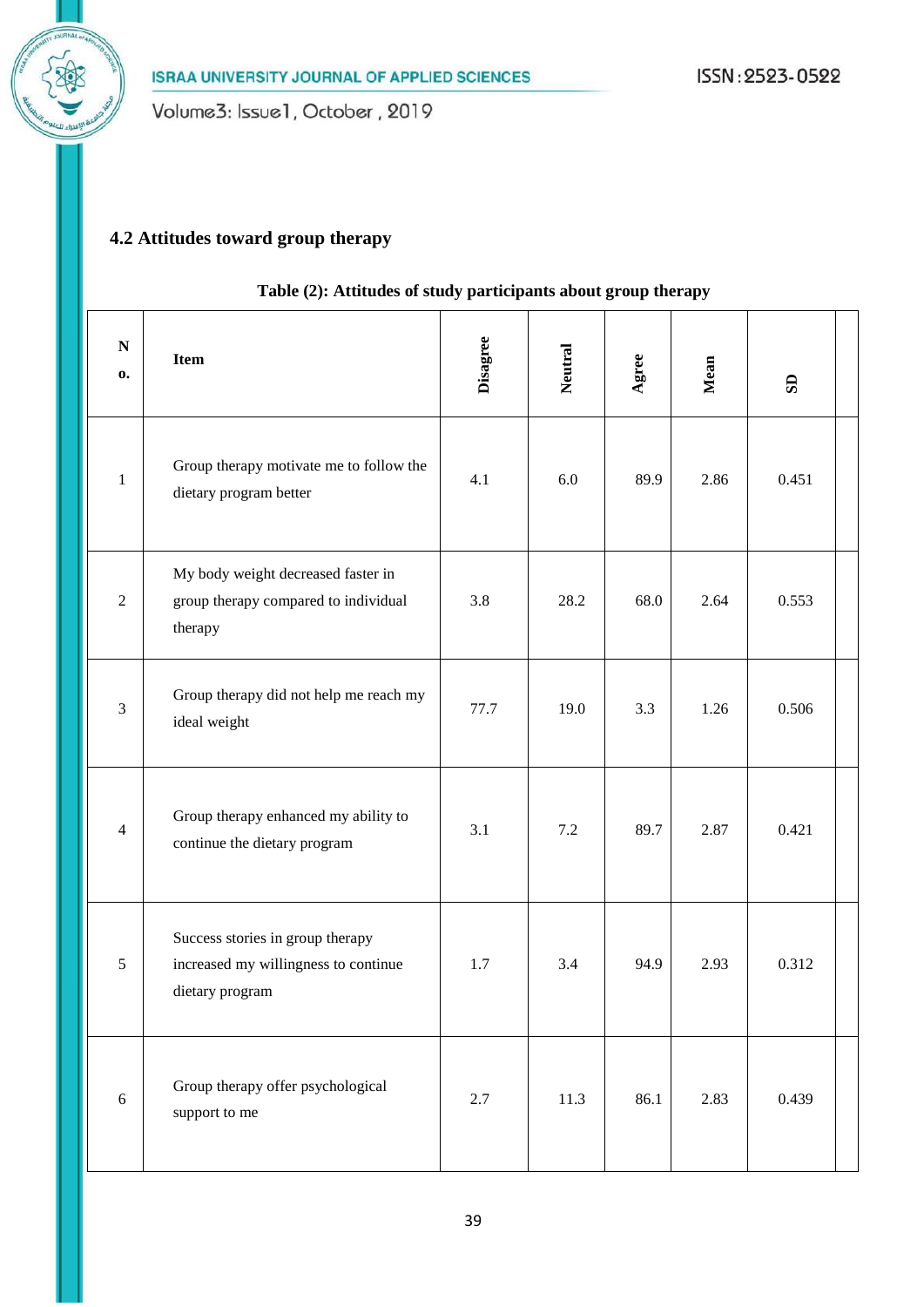# **4.2 Attitudes toward group therapy**

| $\mathbf N$<br>0. | <b>Item</b>                                                                                 | <b>Disagree</b> | Neutral | Agree | Mean | $\mathbf{S}$ |  |
|-------------------|---------------------------------------------------------------------------------------------|-----------------|---------|-------|------|--------------|--|
| 1                 | Group therapy motivate me to follow the<br>dietary program better                           | 4.1             | 6.0     | 89.9  | 2.86 | 0.451        |  |
| $\overline{2}$    | My body weight decreased faster in<br>group therapy compared to individual<br>therapy       | 3.8             | 28.2    | 68.0  | 2.64 | 0.553        |  |
| 3                 | Group therapy did not help me reach my<br>ideal weight                                      | 77.7            | 19.0    | 3.3   | 1.26 | 0.506        |  |
| $\overline{4}$    | Group therapy enhanced my ability to<br>continue the dietary program                        | 3.1             | 7.2     | 89.7  | 2.87 | 0.421        |  |
| 5                 | Success stories in group therapy<br>increased my willingness to continue<br>dietary program | 1.7             | 3.4     | 94.9  | 2.93 | 0.312        |  |
| 6                 | Group therapy offer psychological<br>support to me                                          | 2.7             | 11.3    | 86.1  | 2.83 | 0.439        |  |

# **Table (2): Attitudes of study participants about group therapy**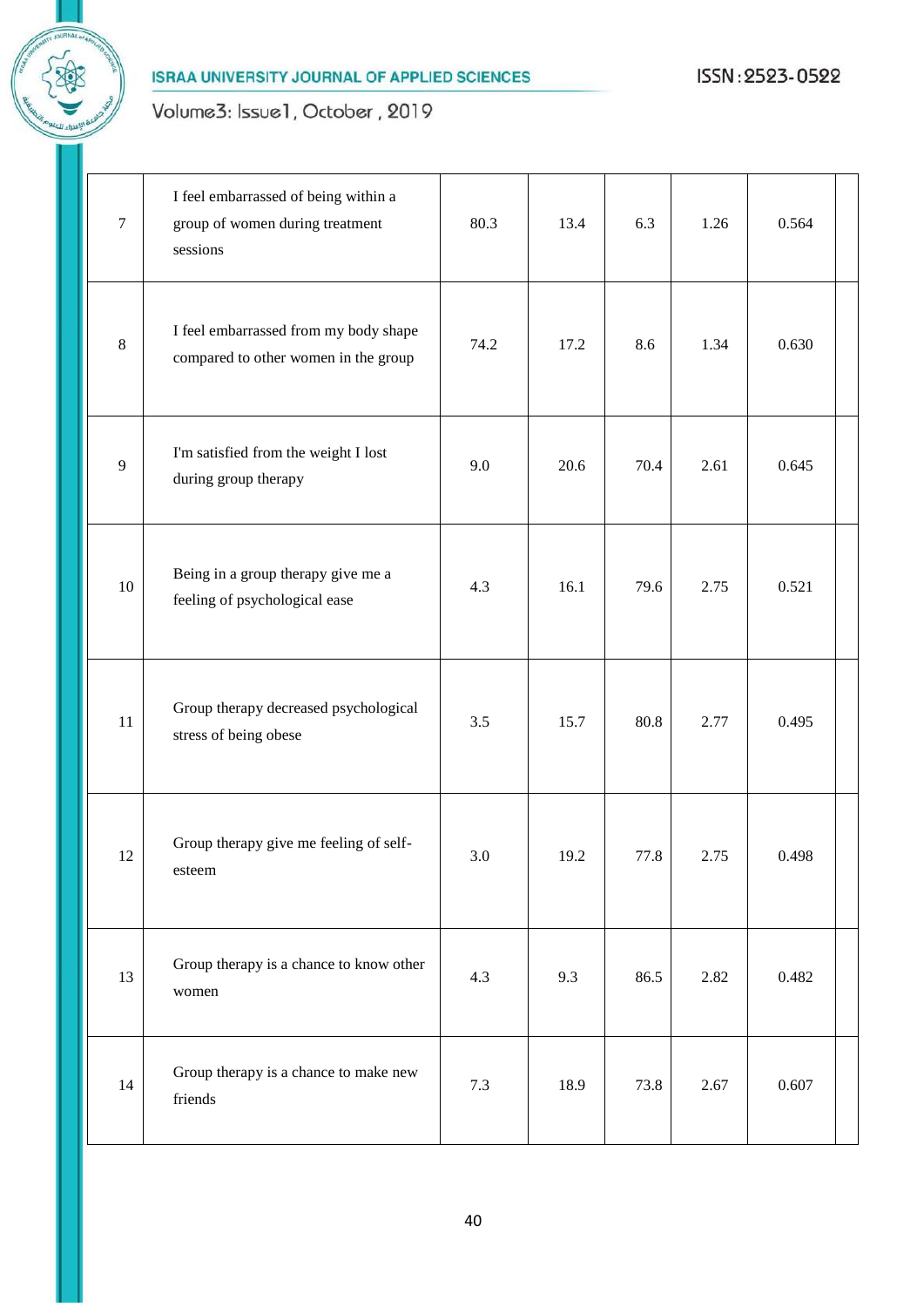

# Volume3: Issue1, October, 2019

| $\tau$  | I feel embarrassed of being within a<br>group of women during treatment<br>sessions | 80.3 | 13.4 | 6.3  | 1.26 | 0.564 |  |
|---------|-------------------------------------------------------------------------------------|------|------|------|------|-------|--|
| $\,8\,$ | I feel embarrassed from my body shape<br>compared to other women in the group       | 74.2 | 17.2 | 8.6  | 1.34 | 0.630 |  |
| 9       | I'm satisfied from the weight I lost<br>during group therapy                        | 9.0  | 20.6 | 70.4 | 2.61 | 0.645 |  |
| 10      | Being in a group therapy give me a<br>feeling of psychological ease                 | 4.3  | 16.1 | 79.6 | 2.75 | 0.521 |  |
| 11      | Group therapy decreased psychological<br>stress of being obese                      | 3.5  | 15.7 | 80.8 | 2.77 | 0.495 |  |
| 12      | Group therapy give me feeling of self-<br>esteem                                    | 3.0  | 19.2 | 77.8 | 2.75 | 0.498 |  |
| 13      | Group therapy is a chance to know other<br>women                                    | 4.3  | 9.3  | 86.5 | 2.82 | 0.482 |  |
| 14      | Group therapy is a chance to make new<br>friends                                    | 7.3  | 18.9 | 73.8 | 2.67 | 0.607 |  |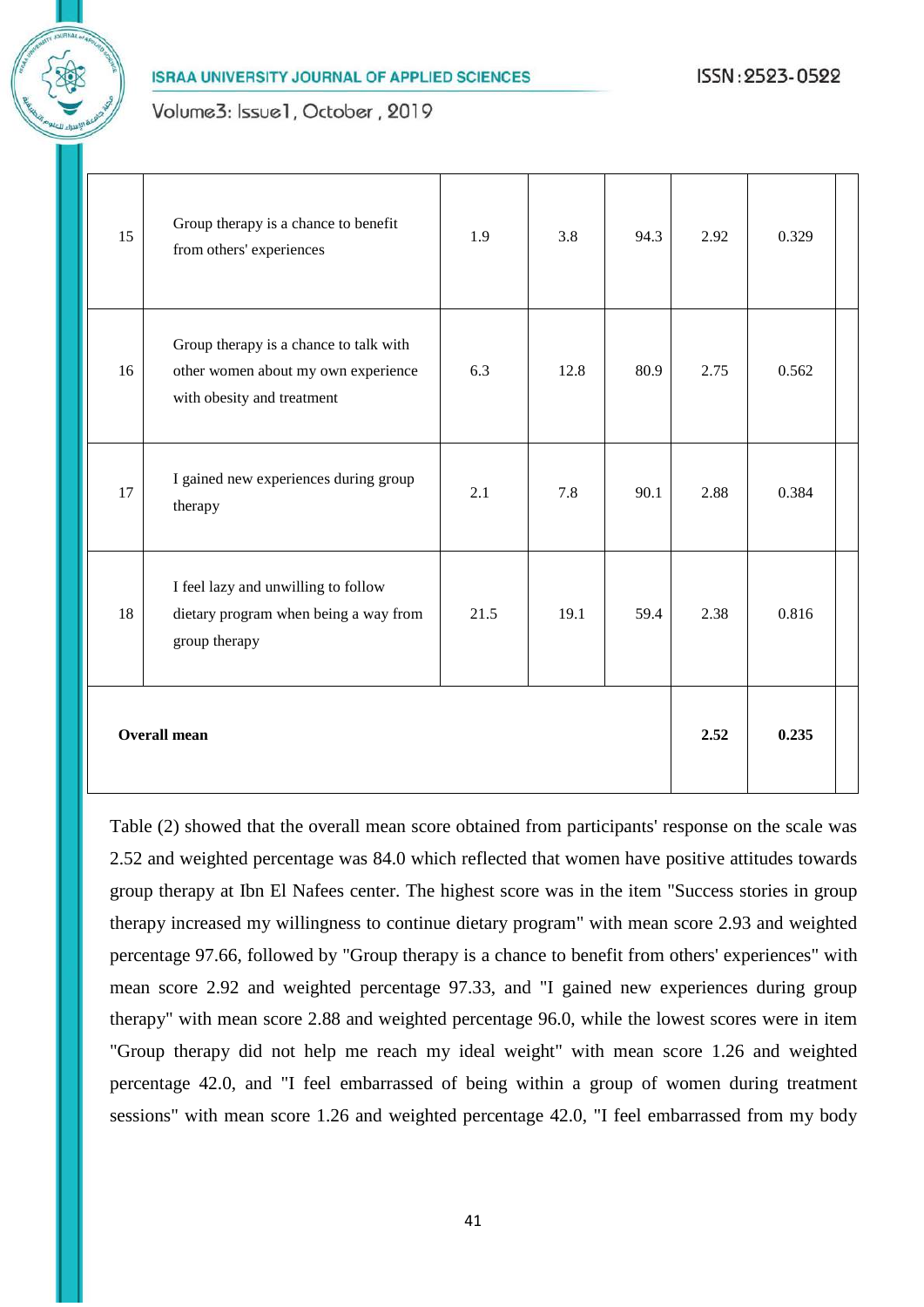



| 15                  | Group therapy is a chance to benefit<br>from others' experiences                                            | 1.9  | 3.8  | 94.3 | 2.92 | 0.329 |  |
|---------------------|-------------------------------------------------------------------------------------------------------------|------|------|------|------|-------|--|
| 16                  | Group therapy is a chance to talk with<br>other women about my own experience<br>with obesity and treatment | 6.3  | 12.8 | 80.9 | 2.75 | 0.562 |  |
| 17                  | I gained new experiences during group<br>therapy                                                            | 2.1  | 7.8  | 90.1 | 2.88 | 0.384 |  |
| 18                  | I feel lazy and unwilling to follow<br>dietary program when being a way from<br>group therapy               | 21.5 | 19.1 | 59.4 | 2.38 | 0.816 |  |
| <b>Overall mean</b> |                                                                                                             |      |      |      |      | 0.235 |  |

Table (2) showed that the overall mean score obtained from participants' response on the scale was 2.52 and weighted percentage was 84.0 which reflected that women have positive attitudes towards group therapy at Ibn El Nafees center. The highest score was in the item "Success stories in group therapy increased my willingness to continue dietary program" with mean score 2.93 and weighted percentage 97.66, followed by "Group therapy is a chance to benefit from others' experiences" with mean score 2.92 and weighted percentage 97.33, and "I gained new experiences during group therapy" with mean score 2.88 and weighted percentage 96.0, while the lowest scores were in item "Group therapy did not help me reach my ideal weight" with mean score 1.26 and weighted percentage 42.0, and "I feel embarrassed of being within a group of women during treatment sessions" with mean score 1.26 and weighted percentage 42.0, "I feel embarrassed from my body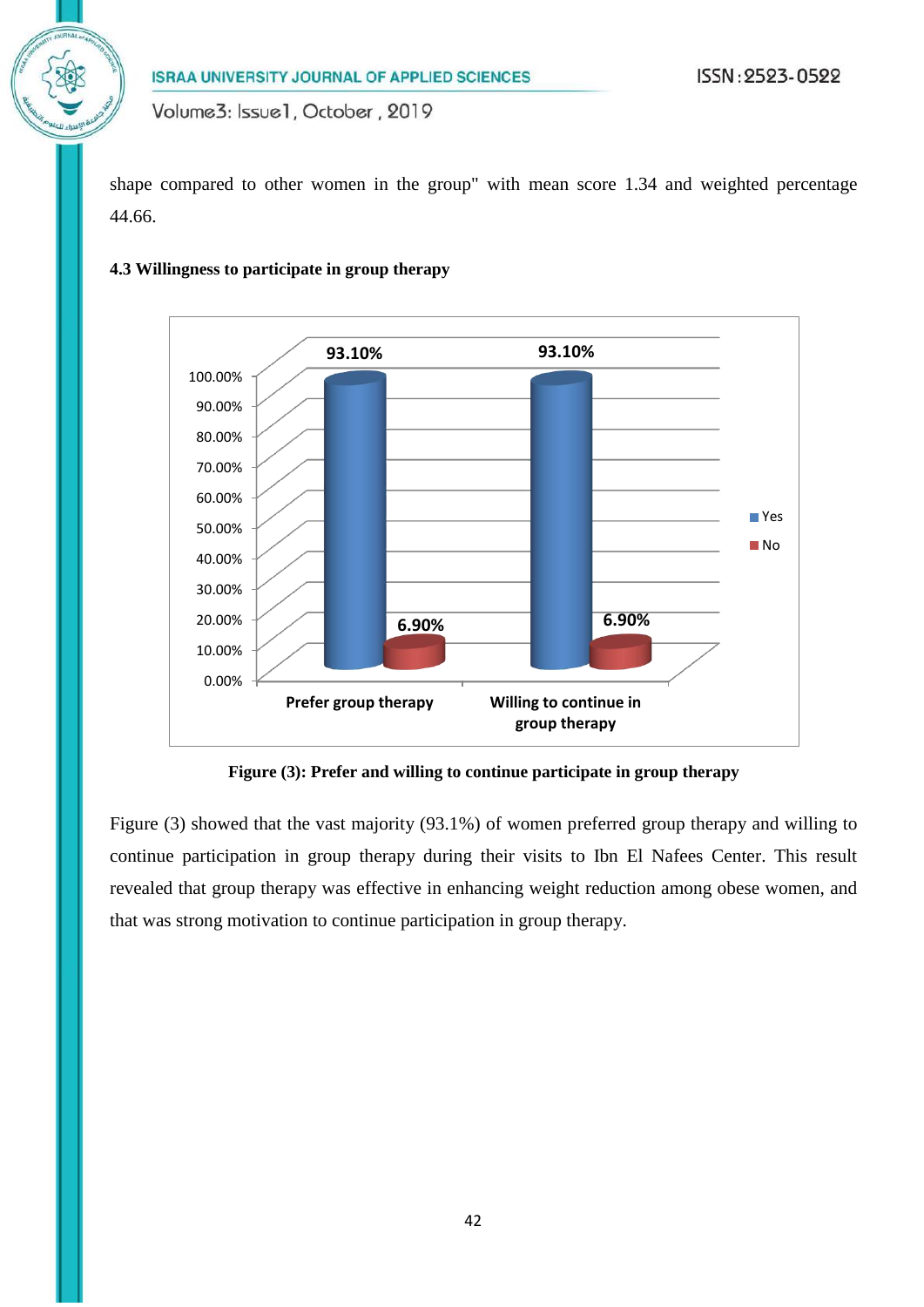shape compared to other women in the group" with mean score 1.34 and weighted percentage 44.66.

### **4.3 Willingness to participate in group therapy**



**Figure (3): Prefer and willing to continue participate in group therapy**

Figure (3) showed that the vast majority (93.1%) of women preferred group therapy and willing to continue participation in group therapy during their visits to Ibn El Nafees Center. This result revealed that group therapy was effective in enhancing weight reduction among obese women, and that was strong motivation to continue participation in group therapy.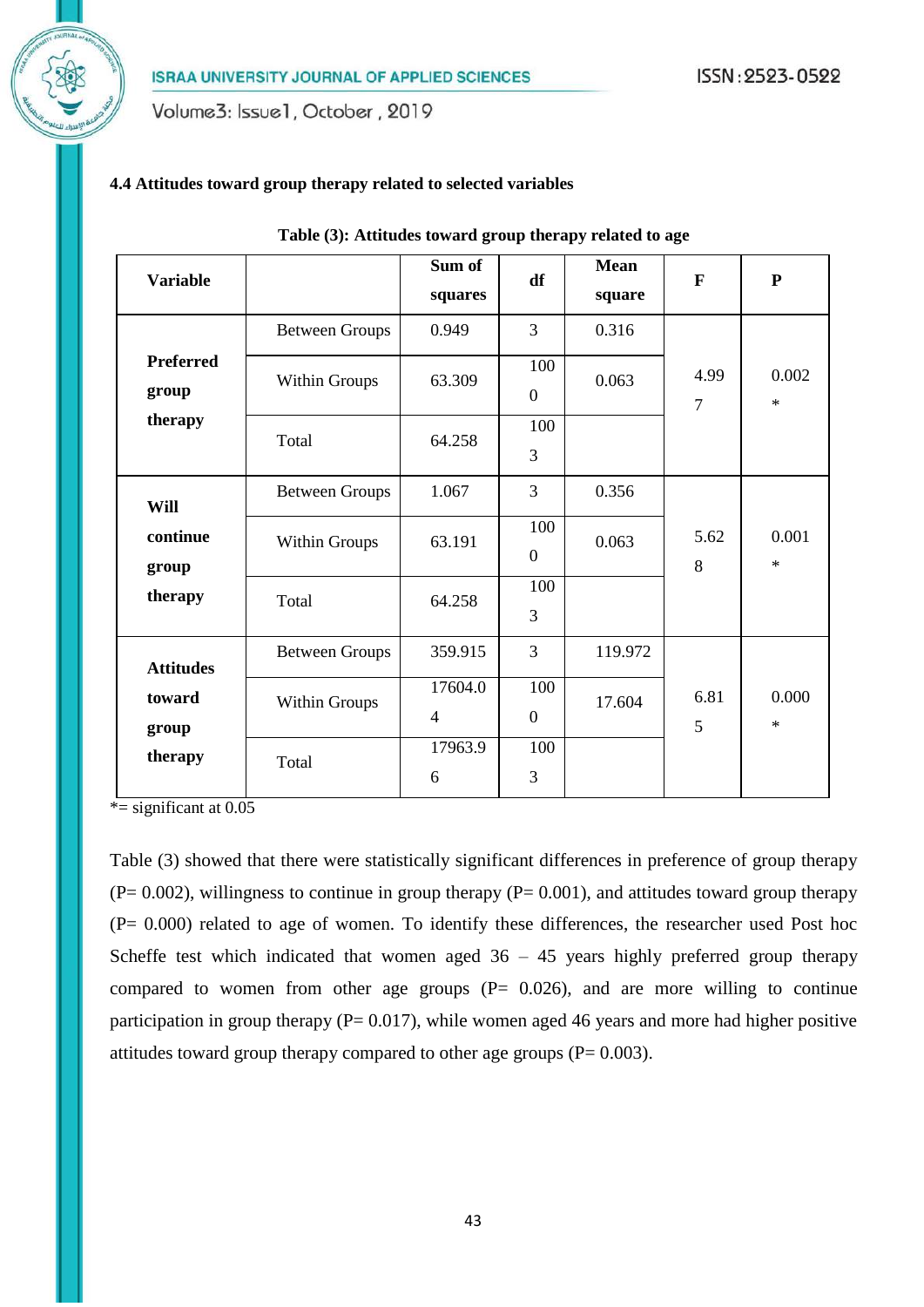Volume3: Issue1, October, 2019

### **4.4 Attitudes toward group therapy related to selected variables**

| <b>Variable</b>              |                       | Sum of<br>squares         | df                    | <b>Mean</b><br>square | $\mathbf{F}$           | ${\bf P}$       |
|------------------------------|-----------------------|---------------------------|-----------------------|-----------------------|------------------------|-----------------|
|                              | <b>Between Groups</b> | 0.949                     | 3                     | 0.316                 |                        |                 |
| <b>Preferred</b><br>group    | <b>Within Groups</b>  | 63.309                    | 100<br>$\overline{0}$ | 0.063                 | 4.99<br>$\overline{7}$ | 0.002<br>$\ast$ |
| therapy                      | Total                 | 64.258                    | 100<br>3              |                       |                        |                 |
| Will                         | <b>Between Groups</b> | 1.067                     | 3                     | 0.356                 |                        |                 |
| continue<br>group<br>therapy | <b>Within Groups</b>  | 63.191                    | 100<br>$\overline{0}$ | 0.063                 | 5.62<br>8              | 0.001<br>$\ast$ |
|                              | Total                 | 64.258                    | 100<br>3              |                       |                        |                 |
| <b>Attitudes</b>             | <b>Between Groups</b> | 359.915                   | 3                     | 119.972               |                        |                 |
| toward<br>group              | Within Groups         | 17604.0<br>$\overline{4}$ | 100<br>$\overline{0}$ | 17.604                | 6.81<br>5              | 0.000<br>$\ast$ |
| therapy                      | Total                 | 17963.9<br>6              | 100<br>3              |                       |                        |                 |

#### **Table (3): Attitudes toward group therapy related to age**

 $*$ = significant at 0.05

Table (3) showed that there were statistically significant differences in preference of group therapy  $(P= 0.002)$ , willingness to continue in group therapy  $(P= 0.001)$ , and attitudes toward group therapy (P= 0.000) related to age of women. To identify these differences, the researcher used Post hoc Scheffe test which indicated that women aged  $36 - 45$  years highly preferred group therapy compared to women from other age groups  $(P= 0.026)$ , and are more willing to continue participation in group therapy ( $P= 0.017$ ), while women aged 46 years and more had higher positive attitudes toward group therapy compared to other age groups  $(P= 0.003)$ .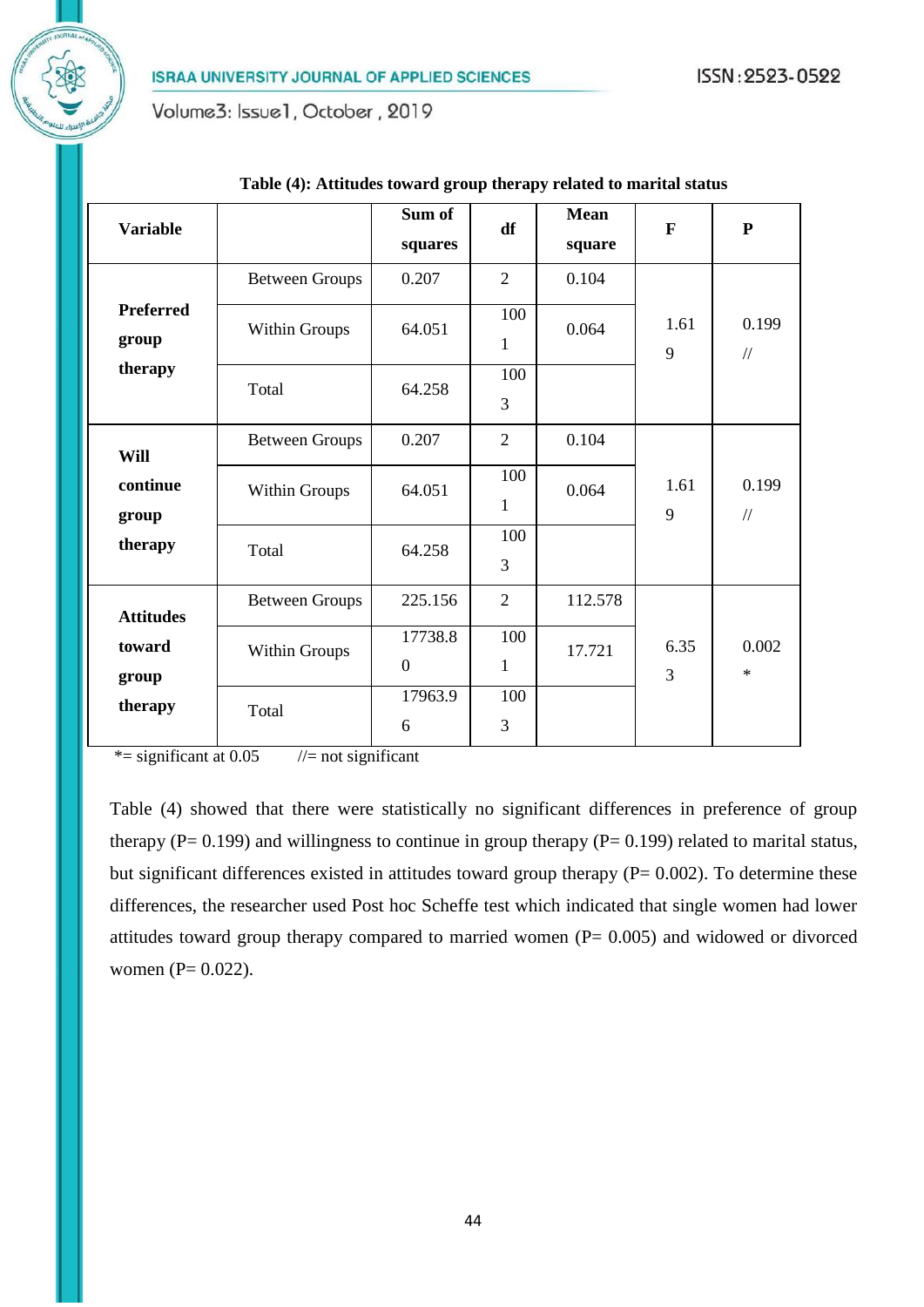Volume3: Issue1, October, 2019

| <b>Variable</b>           |                       | Sum of<br>squares         | df                  | <b>Mean</b><br>square | $\mathbf{F}$ | ${\bf P}$              |
|---------------------------|-----------------------|---------------------------|---------------------|-----------------------|--------------|------------------------|
|                           | <b>Between Groups</b> | 0.207                     | $\overline{2}$      | 0.104                 |              |                        |
| <b>Preferred</b><br>group | <b>Within Groups</b>  | 64.051                    | 100<br>$\mathbf{1}$ | 0.064                 | 1.61<br>9    | 0.199<br>$\frac{1}{2}$ |
| therapy                   | Total                 | 64.258                    | 100<br>3            |                       |              |                        |
| Will                      | <b>Between Groups</b> | 0.207                     | $\overline{2}$      | 0.104                 |              |                        |
| continue<br>group         | <b>Within Groups</b>  | 64.051                    | 100<br>$\mathbf{1}$ | 0.064                 | 1.61<br>9    | 0.199<br>$\frac{1}{2}$ |
| therapy                   | Total                 | 64.258                    | 100<br>3            |                       |              |                        |
| <b>Attitudes</b>          | <b>Between Groups</b> | 225.156                   | $\overline{2}$      | 112.578               |              |                        |
| toward<br>group           | <b>Within Groups</b>  | 17738.8<br>$\overline{0}$ | 100<br>1            | 17.721                | 6.35<br>3    | 0.002<br>$\ast$        |
| therapy                   | Total                 | 17963.9<br>6              | 100<br>3            |                       |              |                        |

#### **Table (4): Attitudes toward group therapy related to marital status**

 $*$ = significant at 0.05 //= not significant

Table (4) showed that there were statistically no significant differences in preference of group therapy ( $P = 0.199$ ) and willingness to continue in group therapy ( $P = 0.199$ ) related to marital status, but significant differences existed in attitudes toward group therapy  $(P= 0.002)$ . To determine these differences, the researcher used Post hoc Scheffe test which indicated that single women had lower attitudes toward group therapy compared to married women  $(P= 0.005)$  and widowed or divorced women (P= 0.022).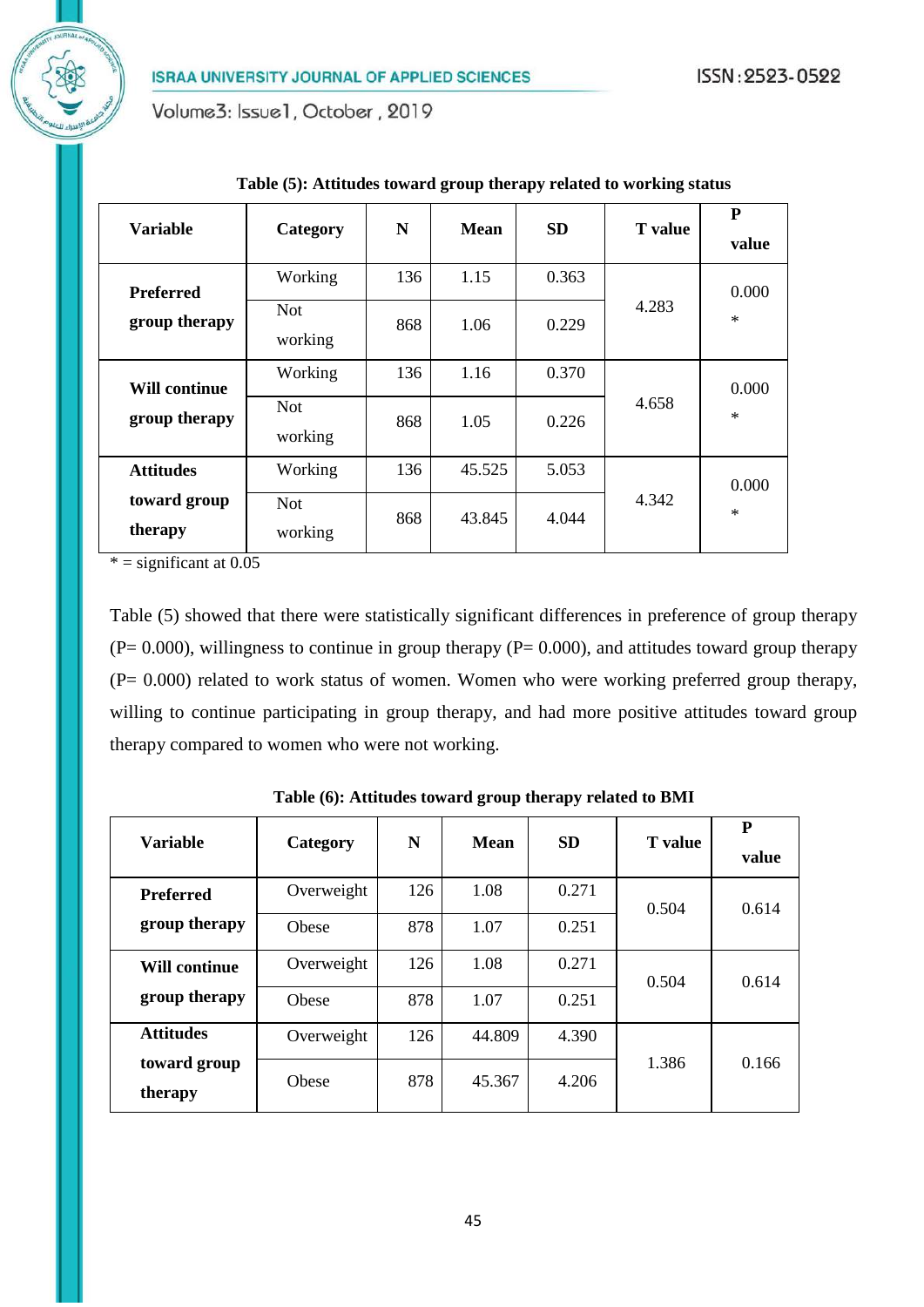Volume3: Issue1, October, 2019

|                                       |                       |     |             |           |                | P      |
|---------------------------------------|-----------------------|-----|-------------|-----------|----------------|--------|
| Variable                              | Category              | N   | <b>Mean</b> | <b>SD</b> | <b>T</b> value | value  |
| <b>Preferred</b>                      | Working               | 136 | 1.15        | 0.363     | 4.283          | 0.000  |
| group therapy                         | <b>Not</b><br>working | 868 | 1.06        | 0.229     |                | $\ast$ |
| <b>Will continue</b><br>group therapy | Working               | 136 | 1.16        | 0.370     |                | 0.000  |
|                                       | <b>Not</b><br>working | 868 | 1.05        | 0.226     | 4.658          | $\ast$ |
| <b>Attitudes</b>                      | Working               | 136 | 45.525      | 5.053     |                | 0.000  |
| toward group<br>therapy               | <b>Not</b><br>working | 868 | 43.845      | 4.044     | 4.342          | $\ast$ |

**Table (5): Attitudes toward group therapy related to working status**

 $* =$  significant at 0.05

Table (5) showed that there were statistically significant differences in preference of group therapy  $(P= 0.000)$ , willingness to continue in group therapy  $(P= 0.000)$ , and attitudes toward group therapy  $(P= 0.000)$  related to work status of women. Women who were working preferred group therapy, willing to continue participating in group therapy, and had more positive attitudes toward group therapy compared to women who were not working.

| <b>Variable</b>         |            | N<br>Category |        |           |                | P     |
|-------------------------|------------|---------------|--------|-----------|----------------|-------|
|                         |            |               | Mean   | <b>SD</b> | <b>T</b> value | value |
| <b>Preferred</b>        | Overweight | 126           | 1.08   | 0.271     | 0.504          | 0.614 |
| group therapy           | Obese      | 878           | 1.07   | 0.251     |                |       |
| <b>Will continue</b>    | Overweight | 126           | 1.08   | 0.271     | 0.504          | 0.614 |
| group therapy           | Obese      | 878           | 1.07   | 0.251     |                |       |
| <b>Attitudes</b>        | Overweight | 126           | 44.809 | 4.390     | 1.386          |       |
| toward group<br>therapy | Obese      | 878           | 45.367 | 4.206     |                | 0.166 |

**Table (6): Attitudes toward group therapy related to BMI**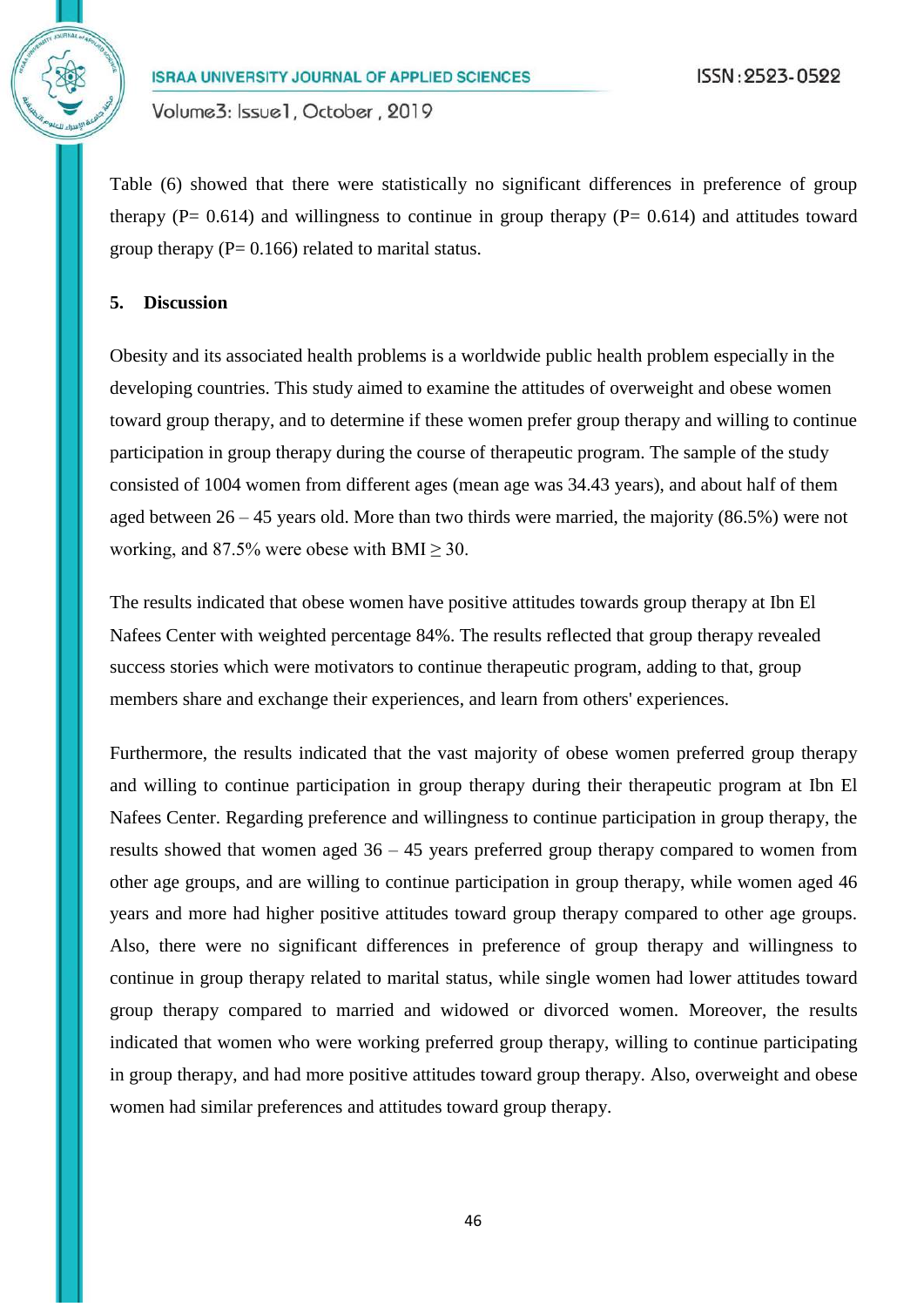Volume3: Issue1, October, 2019

Table (6) showed that there were statistically no significant differences in preference of group therapy ( $P = 0.614$ ) and willingness to continue in group therapy ( $P = 0.614$ ) and attitudes toward group therapy ( $P = 0.166$ ) related to marital status.

# **5. Discussion**

Obesity and its associated health problems is a worldwide public health problem especially in the developing countries. This study aimed to examine the attitudes of overweight and obese women toward group therapy, and to determine if these women prefer group therapy and willing to continue participation in group therapy during the course of therapeutic program. The sample of the study consisted of 1004 women from different ages (mean age was 34.43 years), and about half of them aged between 26 – 45 years old. More than two thirds were married, the majority (86.5%) were not working, and 87.5% were obese with BMI  $\geq$  30.

The results indicated that obese women have positive attitudes towards group therapy at Ibn El Nafees Center with weighted percentage 84%. The results reflected that group therapy revealed success stories which were motivators to continue therapeutic program, adding to that, group members share and exchange their experiences, and learn from others' experiences.

Furthermore, the results indicated that the vast majority of obese women preferred group therapy and willing to continue participation in group therapy during their therapeutic program at Ibn El Nafees Center. Regarding preference and willingness to continue participation in group therapy, the results showed that women aged 36 – 45 years preferred group therapy compared to women from other age groups, and are willing to continue participation in group therapy, while women aged 46 years and more had higher positive attitudes toward group therapy compared to other age groups. Also, there were no significant differences in preference of group therapy and willingness to continue in group therapy related to marital status, while single women had lower attitudes toward group therapy compared to married and widowed or divorced women. Moreover, the results indicated that women who were working preferred group therapy, willing to continue participating in group therapy, and had more positive attitudes toward group therapy. Also, overweight and obese women had similar preferences and attitudes toward group therapy.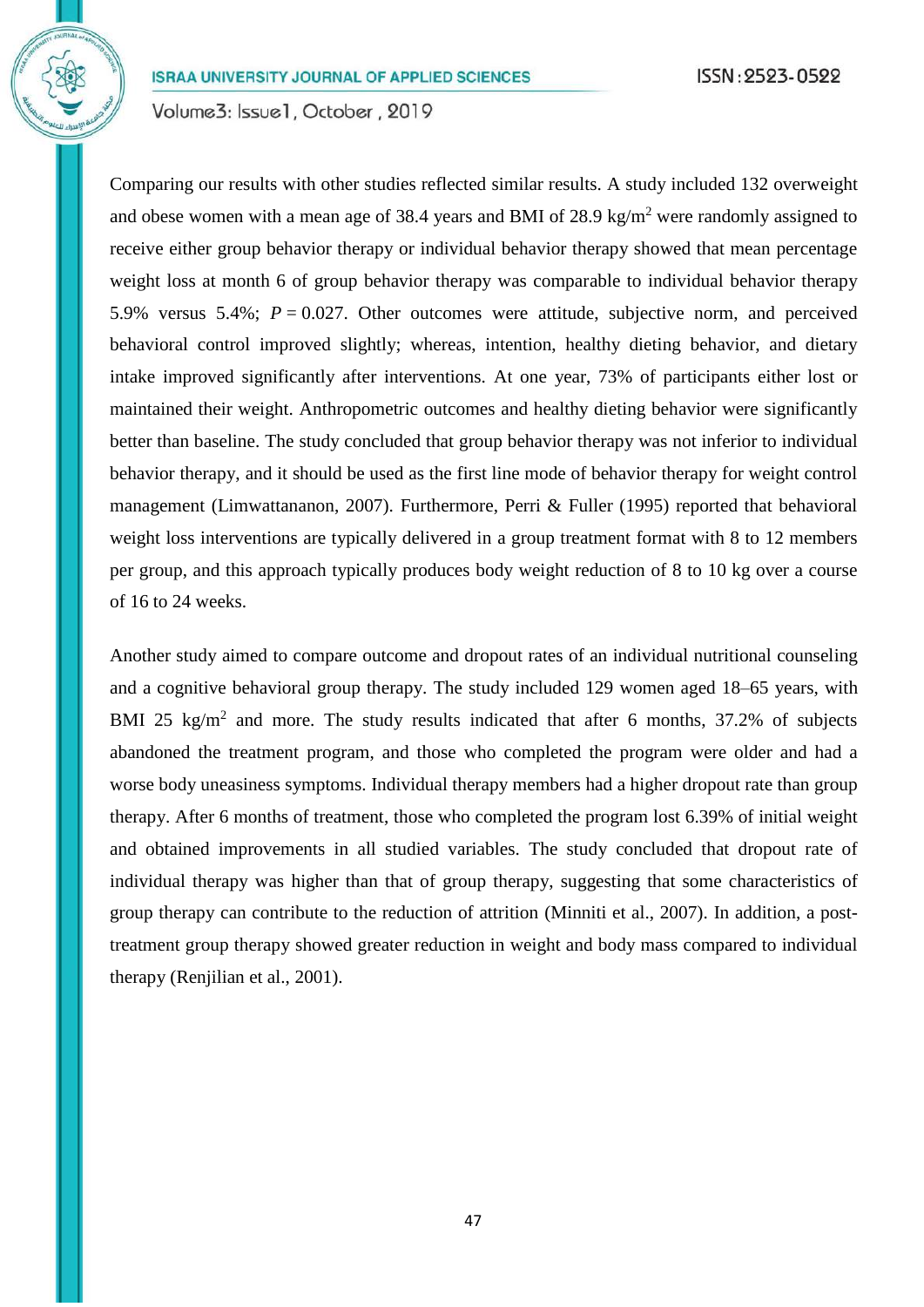Volume3: Issue1, October, 2019

Comparing our results with other studies reflected similar results. A study included 132 overweight and obese women with a mean age of 38.4 years and BMI of 28.9 kg/m<sup>2</sup> were randomly assigned to receive either group behavior therapy or individual behavior therapy showed that mean percentage weight loss at month 6 of group behavior therapy was comparable to individual behavior therapy 5.9% versus 5.4%;  $P = 0.027$ . Other outcomes were attitude, subjective norm, and perceived behavioral control improved slightly; whereas, intention, healthy dieting behavior, and dietary intake improved significantly after interventions. At one year, 73% of participants either lost or maintained their weight. Anthropometric outcomes and healthy dieting behavior were significantly better than baseline. The study concluded that group behavior therapy was not inferior to individual behavior therapy, and it should be used as the first line mode of behavior therapy for weight control management (Limwattananon, 2007). Furthermore, Perri & Fuller (1995) reported that behavioral weight loss interventions are typically delivered in a group treatment format with 8 to 12 members per group, and this approach typically produces body weight reduction of 8 to 10 kg over a course of 16 to 24 weeks.

Another study aimed to compare outcome and dropout rates of an individual nutritional counseling and a cognitive behavioral group therapy. The study included 129 women aged 18–65 years, with BMI 25 kg/m<sup>2</sup> and more. The study results indicated that after 6 months, 37.2% of subjects abandoned the treatment program, and those who completed the program were older and had a worse body uneasiness symptoms. Individual therapy members had a higher dropout rate than group therapy. After 6 months of treatment, those who completed the program lost 6.39% of initial weight and obtained improvements in all studied variables. The study concluded that dropout rate of individual therapy was higher than that of group therapy, suggesting that some characteristics of group therapy can contribute to the reduction of attrition (Minniti et al., 2007). In addition, a posttreatment group therapy showed greater reduction in weight and body mass compared to individual therapy (Renjilian et al., 2001).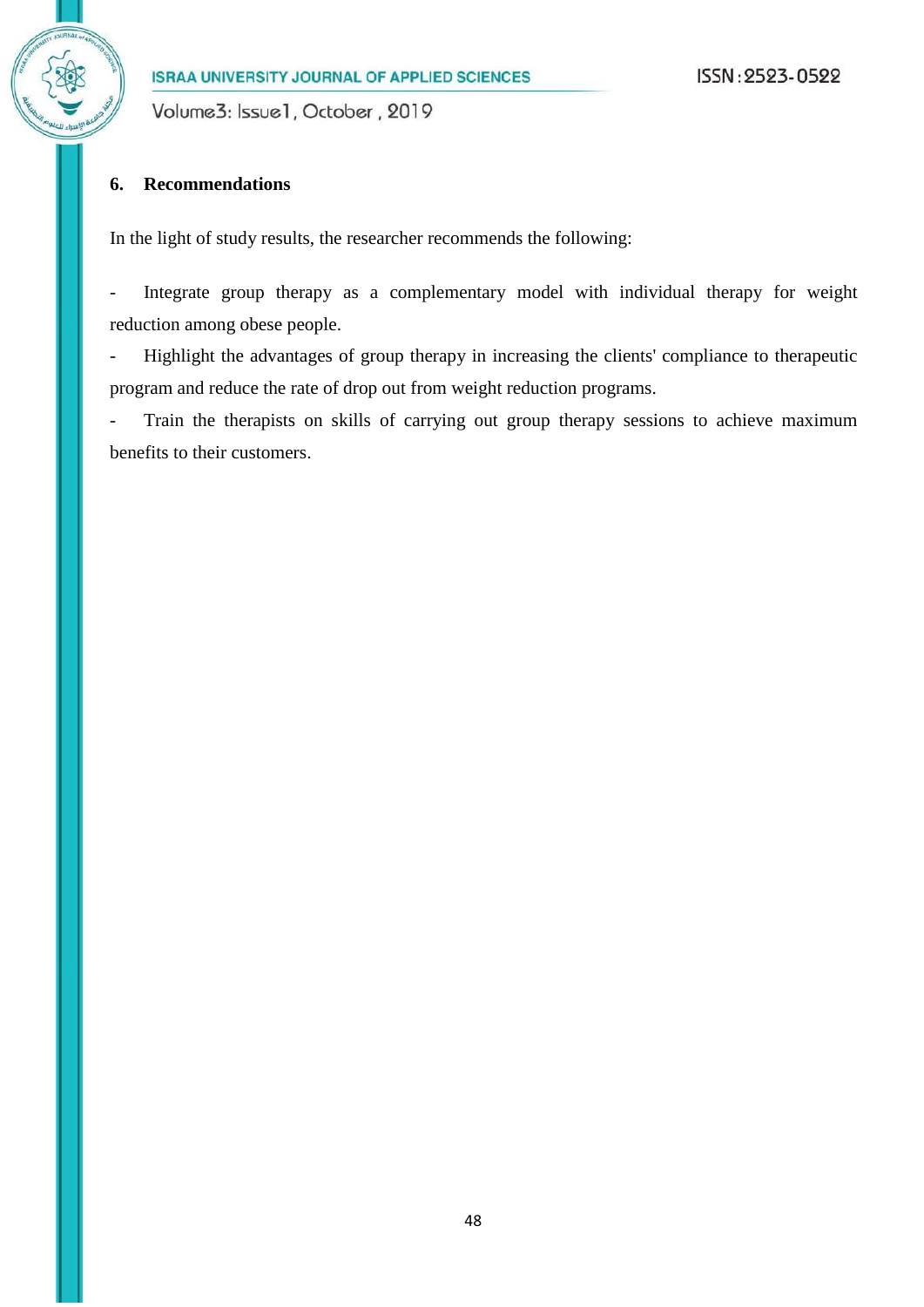Volume3: Issue1, October, 2019

# **6. Recommendations**

In the light of study results, the researcher recommends the following:

- Integrate group therapy as a complementary model with individual therapy for weight reduction among obese people.

- Highlight the advantages of group therapy in increasing the clients' compliance to therapeutic program and reduce the rate of drop out from weight reduction programs.

Train the therapists on skills of carrying out group therapy sessions to achieve maximum benefits to their customers.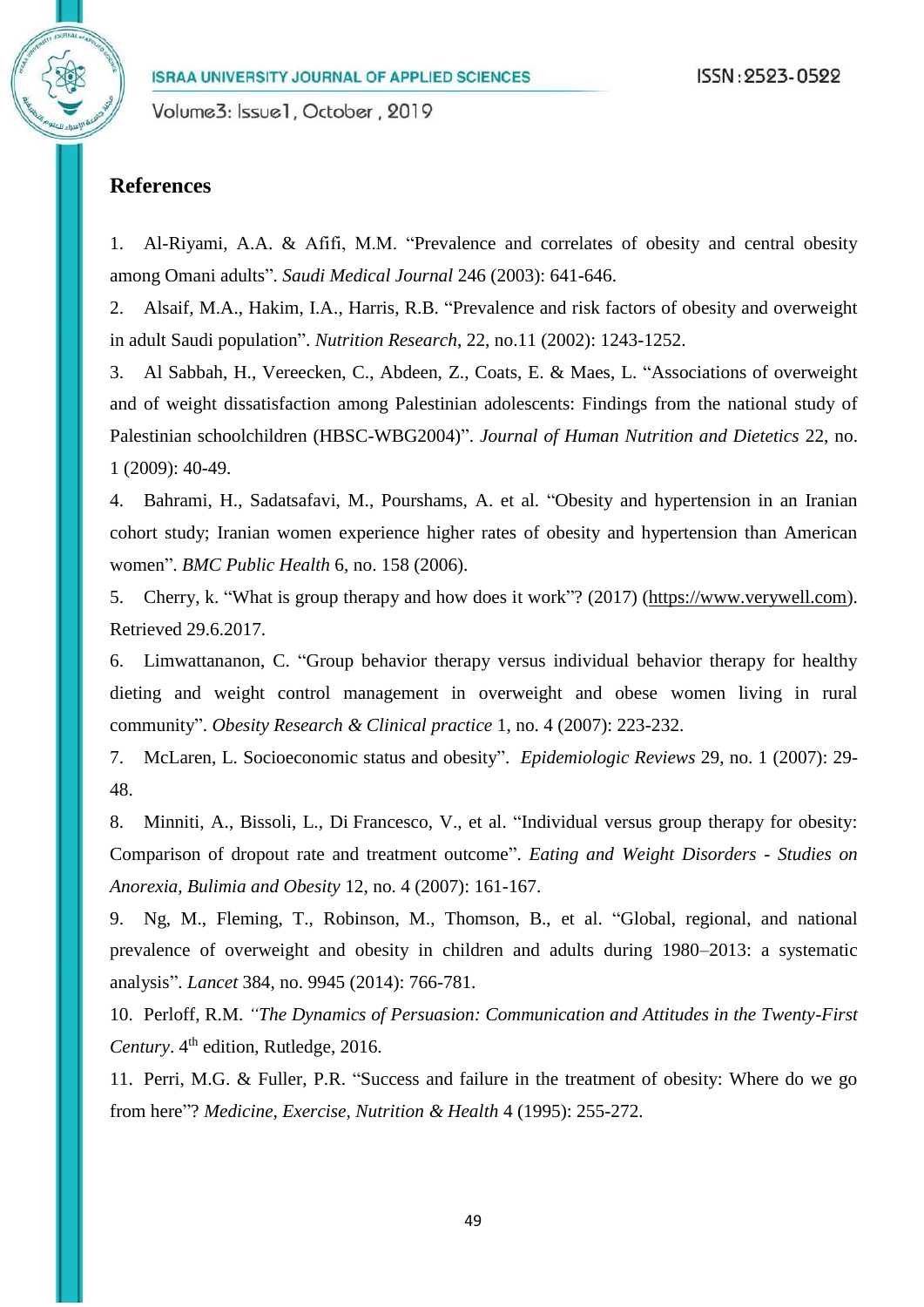# **References**

1. Al-Riyami, A.A. & Afifi, M.M. "Prevalence and correlates of obesity and central obesity among Omani adults". *Saudi Medical Journal* 246 (2003): 641-646.

2. Alsaif, M.A., Hakim, I.A., Harris, R.B. "Prevalence and risk factors of obesity and overweight in adult Saudi population". *Nutrition Research*, 22, no.11 (2002): 1243-1252.

3. Al Sabbah, H., Vereecken, C., Abdeen, Z., Coats, E. & Maes, L. "Associations of overweight and of weight dissatisfaction among Palestinian adolescents: Findings from the national study of Palestinian schoolchildren (HBSC-WBG2004)". *Journal of Human Nutrition and Dietetics* 22, no. 1 (2009): 40-49.

4. Bahrami, H., Sadatsafavi, M., Pourshams, A. et al. "Obesity and hypertension in an Iranian cohort study; Iranian women experience higher rates of obesity and hypertension than American women". *BMC Public Health* 6, no. 158 (2006).

5. Cherry, k. "What is group therapy and how does it work"? (2017) [\(https://www.verywell.com\)](https://www.verywell.com/). Retrieved 29.6.2017.

6. Limwattananon, C. "Group behavior therapy versus individual behavior therapy for healthy dieting and weight control management in overweight and obese women living in rural community". *Obesity Research & Clinical practice* 1, no. 4 (2007): 223-232.

7. McLaren, L. Socioeconomic status and obesity". *Epidemiologic Reviews* 29, no. 1 (2007): 29- 48.

8. Minniti, A., Bissoli, L., Di Francesco, V., et al. "Individual versus group therapy for obesity: Comparison of dropout rate and treatment outcome". *Eating and Weight Disorders - Studies on Anorexia, Bulimia and Obesity* 12, no. 4 (2007): 161-167.

9. Ng, M., Fleming, T., Robinson, M., Thomson, B., et al. "Global, regional, and national prevalence of overweight and obesity in children and adults during 1980–2013: a systematic analysis". *Lancet* 384, no. 9945 (2014): 766-781.

10. Perloff, R.M. *"The Dynamics of Persuasion: Communication and Attitudes in the Twenty-First Century*. 4<sup>th</sup> edition, Rutledge, 2016.

11. Perri, M.G. & Fuller, P.R. "Success and failure in the treatment of obesity: Where do we go from here"? *Medicine, Exercise, Nutrition & Health* 4 (1995): 255-272.